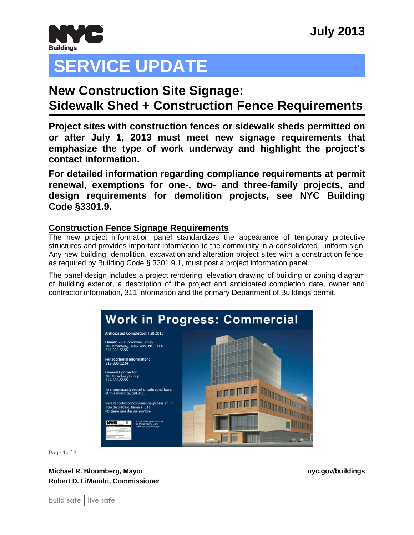

# **SERVICE UPDATE**

## **Jeune Compton New Construction Site Signage: Sidewalk Shed + Construction Fence Requirements**

**Project sites with construction fences or sidewalk sheds permitted on or after July 1, 2013 must meet new signage requirements that emphasize the type of work underway and highlight the project's contact information.**

**For detailed information regarding compliance requirements at permit renewal, exemptions for one-, two- and three-family projects, and design requirements for demolition projects, see NYC Building Code §3301.9.**

### **Construction Fence Signage Requirements**

The new project information panel standardizes the appearance of temporary protective structures and provides important information to the community in a consolidated, uniform sign. Any new building, demolition, excavation and alteration project sites with a construction fence, as required by Building Code § 3301.9.1, must post a project information panel.

The panel design includes a project rendering, elevation drawing of building or zoning diagram of building exterior, a description of the project and anticipated completion date, owner and contractor information, 311 information and the primary Department of Buildings permit.



Page 1 of 3

**Michael R. Bloomberg, Mayor nyc.gov/buildings Robert D. LiMandri, Commissioner**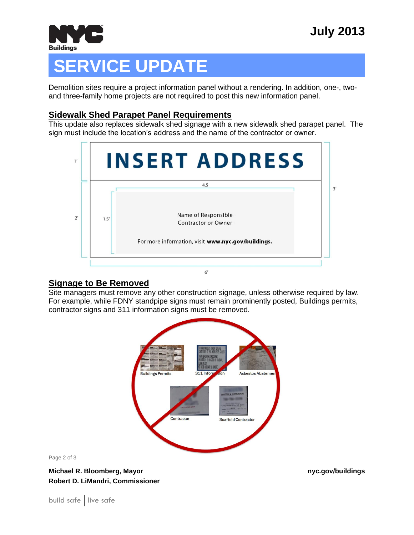

# **SERVICE UPDATE**

Demolition sites require a project information panel without a rendering. In addition, one-, twoand three-family home projects are not required to post this new information panel.

#### **Sidewalk Shed Parapet Panel Requirements**

This update also replaces sidewalk shed signage with a new sidewalk shed parapet panel. The sign must include the location's address and the name of the contractor or owner.



### **Signage to Be Removed**

Site managers must remove any other construction signage, unless otherwise required by law. For example, while FDNY standpipe signs must remain prominently posted, Buildings permits, contractor signs and 311 information signs must be removed.



Page 2 of 3

**Michael R. Bloomberg, Mayor nyc.gov/buildings Robert D. LiMandri, Commissioner**